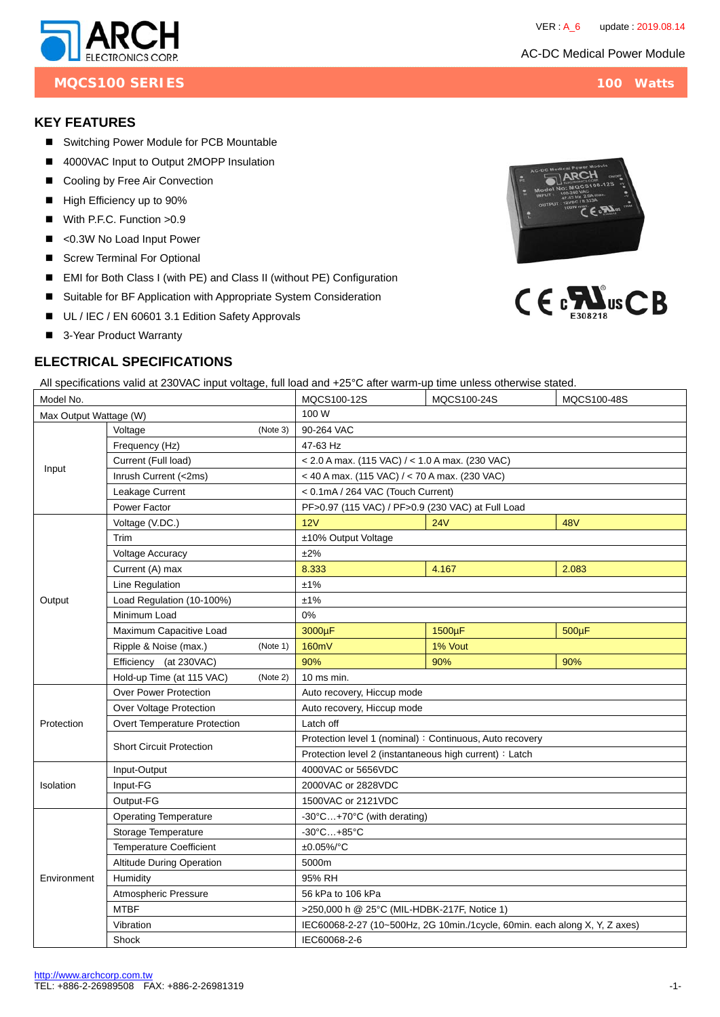#### AC-DC Medical Power Module

CE.RY

 $C \in \mathbb{C}$   $\sum_{n=1}^{\infty}$ us  $CB$ 





### **KEY FEATURES**

- Switching Power Module for PCB Mountable
- 4000VAC Input to Output 2MOPP Insulation
- Cooling by Free Air Convection
- High Efficiency up to 90%
- With P.F.C. Function > 0.9
- <0.3W No Load Input Power
- Screw Terminal For Optional
- EMI for Both Class I (with PE) and Class II (without PE) Configuration
- Suitable for BF Application with Appropriate System Consideration
- UL / IEC / EN 60601 3.1 Edition Safety Approvals
- 3-Year Product Warranty

# **ELECTRICAL SPECIFICATIONS**

All specifications valid at 230VAC input voltage, full load and +25°C after warm-up time unless otherwise stated.

| Model No.              |                                       |          | MQCS100-12S                                                                | MQCS100-24S | MQCS100-48S |  |  |  |
|------------------------|---------------------------------------|----------|----------------------------------------------------------------------------|-------------|-------------|--|--|--|
| Max Output Wattage (W) |                                       |          | 100 W                                                                      |             |             |  |  |  |
| Input                  | Voltage                               | (Note 3) | 90-264 VAC                                                                 |             |             |  |  |  |
|                        | Frequency (Hz)                        |          | 47-63 Hz                                                                   |             |             |  |  |  |
|                        | Current (Full load)                   |          | $<$ 2.0 A max. (115 VAC) / $<$ 1.0 A max. (230 VAC)                        |             |             |  |  |  |
|                        | Inrush Current (<2ms)                 |          | < 40 A max. (115 VAC) / < 70 A max. (230 VAC)                              |             |             |  |  |  |
|                        | Leakage Current                       |          | < 0.1mA / 264 VAC (Touch Current)                                          |             |             |  |  |  |
|                        | Power Factor                          |          | PF>0.97 (115 VAC) / PF>0.9 (230 VAC) at Full Load                          |             |             |  |  |  |
| Output                 | Voltage (V.DC.)                       |          | 12V                                                                        | 24V         | <b>48V</b>  |  |  |  |
|                        | Trim                                  |          | ±10% Output Voltage                                                        |             |             |  |  |  |
|                        | Voltage Accuracy                      |          | ±2%                                                                        |             |             |  |  |  |
|                        | Current (A) max                       |          | 8.333                                                                      | 4.167       | 2.083       |  |  |  |
|                        | Line Regulation                       |          | ±1%                                                                        |             |             |  |  |  |
|                        | Load Regulation (10-100%)             |          | ±1%                                                                        |             |             |  |  |  |
|                        | Minimum Load                          |          | 0%                                                                         |             |             |  |  |  |
|                        | Maximum Capacitive Load               |          | 3000µF                                                                     | 1500µF      | $500\mu F$  |  |  |  |
|                        | Ripple & Noise (max.)                 | (Note 1) | 160mV                                                                      | 1% Vout     |             |  |  |  |
|                        | Efficiency (at 230VAC)                |          | 90%                                                                        | 90%         | 90%         |  |  |  |
|                        | Hold-up Time (at 115 VAC)<br>(Note 2) |          | 10 ms min.                                                                 |             |             |  |  |  |
|                        | <b>Over Power Protection</b>          |          | Auto recovery, Hiccup mode                                                 |             |             |  |  |  |
|                        | Over Voltage Protection               |          | Auto recovery, Hiccup mode                                                 |             |             |  |  |  |
| Protection             | Overt Temperature Protection          |          | Latch off                                                                  |             |             |  |  |  |
|                        | <b>Short Circuit Protection</b>       |          | Protection level 1 (nominal) : Continuous, Auto recovery                   |             |             |  |  |  |
|                        |                                       |          | Protection level 2 (instantaneous high current) : Latch                    |             |             |  |  |  |
|                        | Input-Output                          |          | 4000VAC or 5656VDC                                                         |             |             |  |  |  |
| Isolation              | Input-FG                              |          | 2000VAC or 2828VDC                                                         |             |             |  |  |  |
|                        | Output-FG                             |          | 1500VAC or 2121VDC                                                         |             |             |  |  |  |
|                        | <b>Operating Temperature</b>          |          | -30°C+70°C (with derating)                                                 |             |             |  |  |  |
| Environment            | Storage Temperature                   |          | $-30^{\circ}$ C $+85^{\circ}$ C                                            |             |             |  |  |  |
|                        | <b>Temperature Coefficient</b>        |          | $±0.05\%$ /°C                                                              |             |             |  |  |  |
|                        | <b>Altitude During Operation</b>      |          | 5000m                                                                      |             |             |  |  |  |
|                        | Humidity                              |          | 95% RH                                                                     |             |             |  |  |  |
|                        | <b>Atmospheric Pressure</b>           |          | 56 kPa to 106 kPa                                                          |             |             |  |  |  |
|                        | <b>MTBF</b>                           |          | >250,000 h @ 25°C (MIL-HDBK-217F, Notice 1)                                |             |             |  |  |  |
|                        | Vibration                             |          | IEC60068-2-27 (10~500Hz, 2G 10min./1cycle, 60min. each along X, Y, Z axes) |             |             |  |  |  |
|                        | Shock                                 |          | IEC60068-2-6                                                               |             |             |  |  |  |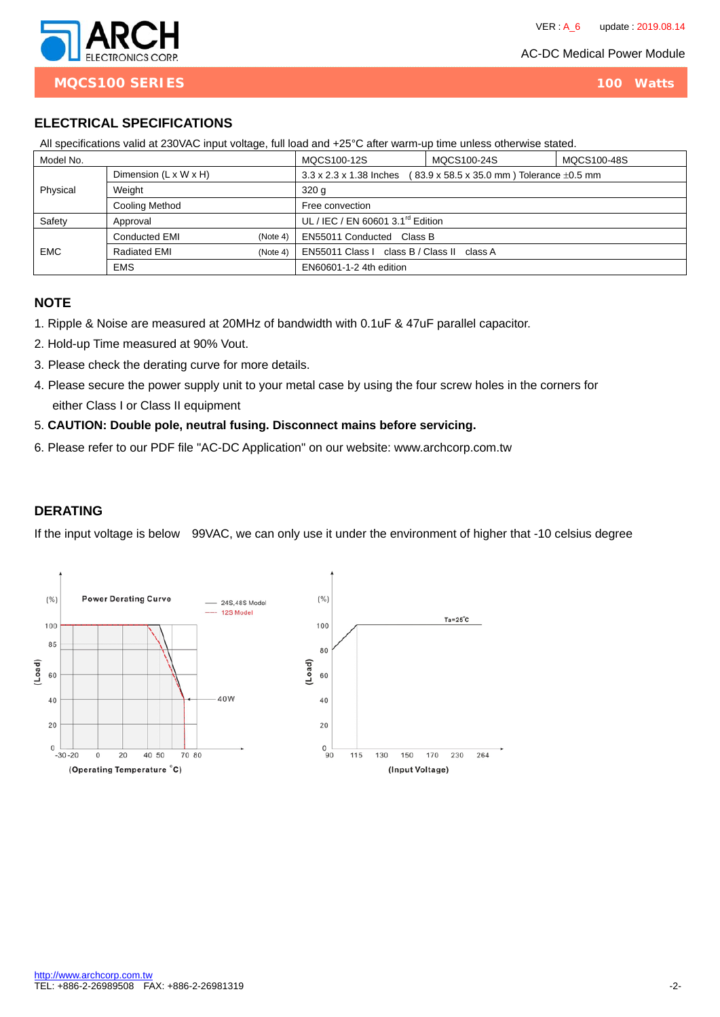AC-DC Medical Power Module



**MQCS100 SERIES** 100 Watts

# **ELECTRICAL SPECIFICATIONS**

| All specifications valid at 230 VAC input voltage, full load and +25 °C after warm-up time unless otherwise stated. |                                   |          |                                                                           |  |             |  |  |
|---------------------------------------------------------------------------------------------------------------------|-----------------------------------|----------|---------------------------------------------------------------------------|--|-------------|--|--|
| Model No.                                                                                                           |                                   |          | MQCS100-12S<br>MQCS100-24S                                                |  | MQCS100-48S |  |  |
| Physical                                                                                                            | Dimension $(L \times W \times H)$ |          | 3.3 x 2.3 x 1.38 Inches<br>(83.9 x 58.5 x 35.0 mm) Tolerance $\pm 0.5$ mm |  |             |  |  |
|                                                                                                                     | Weight                            |          | 320q                                                                      |  |             |  |  |
|                                                                                                                     | Cooling Method                    |          | Free convection                                                           |  |             |  |  |
| Safety                                                                                                              | Approval                          |          | UL / IEC / EN 60601 3.1 <sup>rd</sup> Edition                             |  |             |  |  |
| <b>EMC</b>                                                                                                          | Conducted EMI                     | (Note 4) | EN55011 Conducted Class B                                                 |  |             |  |  |
|                                                                                                                     | <b>Radiated EMI</b>               | (Note 4) | EN55011 Class I class B / Class II class A                                |  |             |  |  |
|                                                                                                                     | <b>EMS</b>                        |          | EN60601-1-2 4th edition                                                   |  |             |  |  |

All specifications valid at 230VAC input voltage, full load and +25°C after warm-up time unless otherwise stated.

### **NOTE**

- 1. Ripple & Noise are measured at 20MHz of bandwidth with 0.1uF & 47uF parallel capacitor.
- 2. Hold-up Time measured at 90% Vout.
- 3. Please check the derating curve for more details.
- 4. Please secure the power supply unit to your metal case by using the four screw holes in the corners for either Class I or Class II equipment
- 5. **CAUTION: Double pole, neutral fusing. Disconnect mains before servicing.**
- 6. Please refer to our PDF file "AC-DC Application" on our website: www.archcorp.com.tw

# **DERATING**

If the input voltage is below 99VAC, we can only use it under the environment of higher that -10 celsius degree

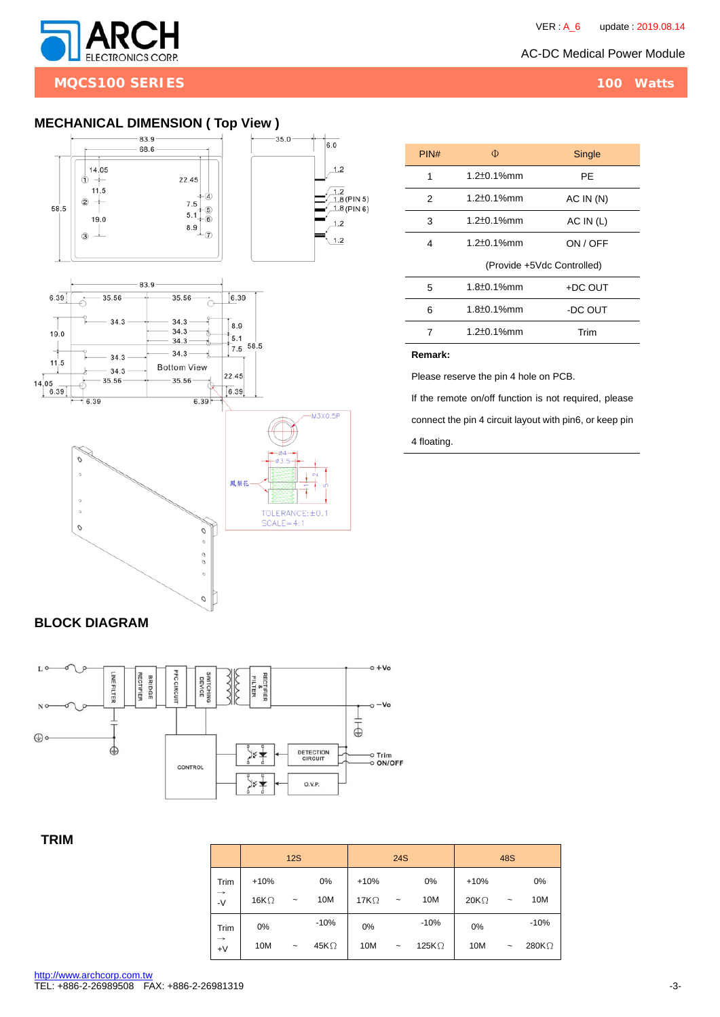

**MQCS100 SERIES** 100 Watts

## **MECHANICAL DIMENSION ( Top View )**



| PIN# | Φ                          | Single    |  |  |  |
|------|----------------------------|-----------|--|--|--|
| 1    | $1.2 \pm 0.1\%$ mm         | РE        |  |  |  |
| 2    | $1.2 \pm 0.1\%$ mm         | AC IN(N)  |  |  |  |
| 3    | $1.2 \pm 0.1\%$ mm         | AC IN (L) |  |  |  |
| 4    | $1.2 \pm 0.1\%$ mm         | ON / OFF  |  |  |  |
|      | (Provide +5Vdc Controlled) |           |  |  |  |
| 5    | $1.8 \pm 0.1\%$ mm         | +DC OUT   |  |  |  |
| 6    | $1.8 \pm 0.1\%$ mm         | -DC OUT   |  |  |  |
| 7    | $1.2 \pm 0.1\%$ mm         | Trim      |  |  |  |
|      |                            |           |  |  |  |

#### **Remark:**

Please reserve the pin 4 hole on PCB.

If the remote on/off function is not required, please connect the pin 4 circuit layout with pin6, or keep pin

4 floating.

## **BLOCK DIAGRAM**



### **TRIM**

|                       |              | <b>12S</b>            |              |              | <b>24S</b>            |               |             | <b>48S</b>            |               |
|-----------------------|--------------|-----------------------|--------------|--------------|-----------------------|---------------|-------------|-----------------------|---------------|
| Trim                  | $+10%$       |                       | 0%           | $+10%$       |                       | 0%            | $+10%$      |                       | 0%            |
| $\rightarrow$<br>$-V$ | 16K $\Omega$ | $\tilde{\phantom{a}}$ | 10M          | 17 $K\Omega$ | $\tilde{\phantom{a}}$ | 10M           | $20K\Omega$ | $\tilde{\phantom{a}}$ | 10M           |
| Trim                  | 0%           |                       | $-10%$       | $0\%$        |                       | $-10%$        | 0%          |                       | $-10%$        |
| $\rightarrow$<br>$+V$ | 10M          | $\tilde{}$            | 45K $\Omega$ | 10M          | $\tilde{}$            | 125K $\Omega$ | 10M         | $\tilde{\phantom{a}}$ | 280K $\Omega$ |